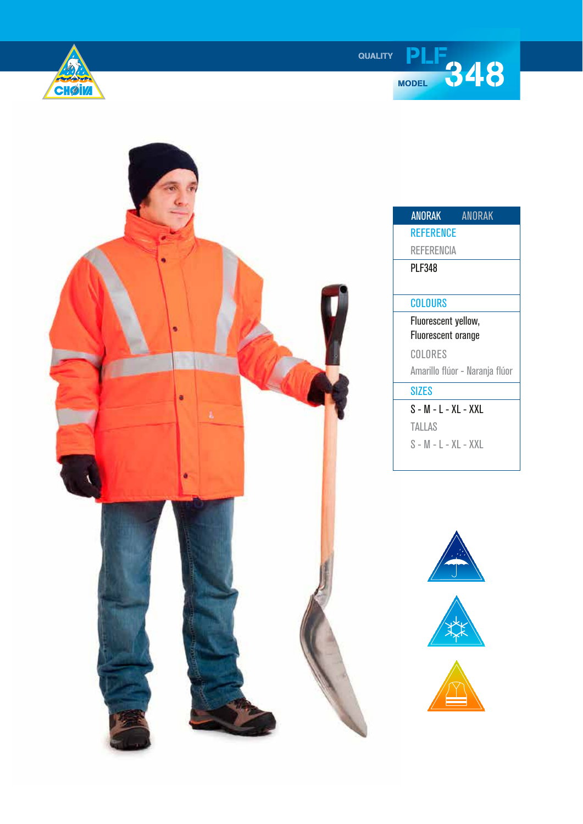

**QUALITY** 



| <b>ANORAK</b>             | <b>ANORAK</b>                  |
|---------------------------|--------------------------------|
| <b>REFERENCE</b>          |                                |
| REFERENCIA                |                                |
| <b>PLF348</b>             |                                |
|                           |                                |
| COLOURS                   |                                |
| Fluorescent yellow,       |                                |
| <b>Fluorescent orange</b> |                                |
| COLORES                   |                                |
|                           | Amarillo flúor - Naranja flúor |
| SIZES                     |                                |
| S - M - L - XL - XXL      |                                |
| <b>TALLAS</b>             |                                |
| S - M - L - XL - XXL      |                                |
|                           |                                |

**PLF**<br><sup>MODEL</sup> 348